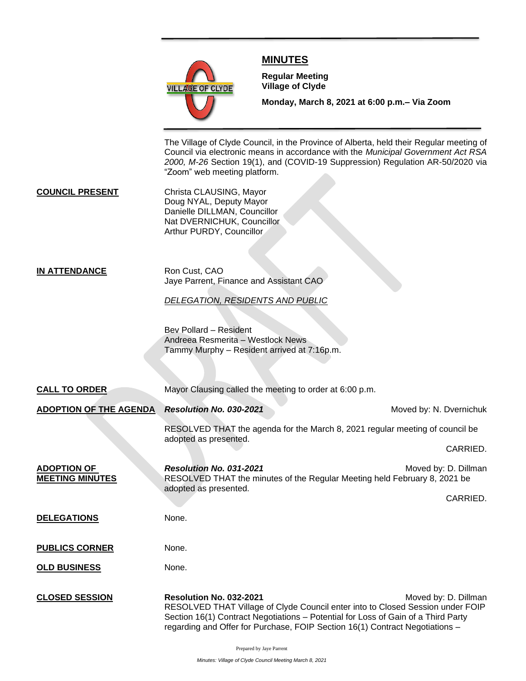

## **MINUTES**

**Meeting**

**Regular Meeting Village of Clyde**

**Monday, March 8, 2021 at 6:00 p.m.– Via Zoom** 

The Village of Clyde Council, in the Province of Alberta, held their Regular meeting of Council via electronic means in accordance with the *Municipal Government Act RSA 2000, M-26* Section 19(1), and (COVID-19 Suppression) Regulation AR-50/2020 via "Zoom" web meeting platform.

**COUNCIL PRESENT** Christa CLAUSING, Mayor Doug NYAL, Deputy Mayor Danielle DILLMAN, Councillor Nat DVERNICHUK, Councillor Arthur PURDY, Councillor

## **IN ATTENDANCE** Ron Cust, CAO Jaye Parrent, Finance and Assistant CAO

*DELEGATION, RESIDENTS AND PUBLIC*

Bev Pollard – Resident Andreea Resmerita – Westlock News Tammy Murphy – Resident arrived at 7:16p.m.

| <b>CALL TO ORDER</b>                         | Mayor Clausing called the meeting to order at 6:00 p.m.                                                                                                                                                                                                                        |                         |
|----------------------------------------------|--------------------------------------------------------------------------------------------------------------------------------------------------------------------------------------------------------------------------------------------------------------------------------|-------------------------|
| <b>ADOPTION OF THE AGENDA</b>                | Resolution No. 030-2021                                                                                                                                                                                                                                                        | Moved by: N. Dvernichuk |
|                                              | RESOLVED THAT the agenda for the March 8, 2021 regular meeting of council be<br>adopted as presented.                                                                                                                                                                          | CARRIED.                |
| <b>ADOPTION OF</b><br><b>MEETING MINUTES</b> | Resolution No. 031-2021<br>RESOLVED THAT the minutes of the Regular Meeting held February 8, 2021 be<br>adopted as presented.                                                                                                                                                  | Moved by: D. Dillman    |
|                                              |                                                                                                                                                                                                                                                                                | CARRIED.                |
| <b>DELEGATIONS</b>                           | None.                                                                                                                                                                                                                                                                          |                         |
| <b>PUBLICS CORNER</b>                        | None.                                                                                                                                                                                                                                                                          |                         |
| <b>OLD BUSINESS</b>                          | None.                                                                                                                                                                                                                                                                          |                         |
| <b>CLOSED SESSION</b>                        | Resolution No. 032-2021<br>RESOLVED THAT Village of Clyde Council enter into to Closed Session under FOIP<br>Section 16(1) Contract Negotiations - Potential for Loss of Gain of a Third Party<br>regarding and Offer for Purchase, FOIP Section 16(1) Contract Negotiations - | Moved by: D. Dillman    |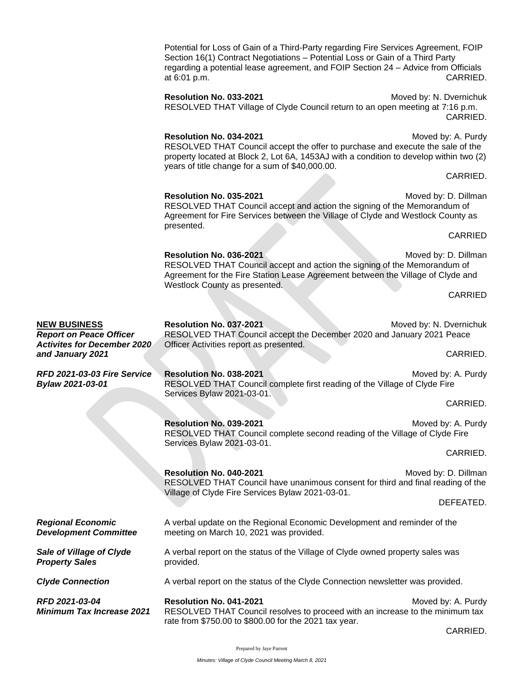|                                                        | Potential for Loss of Gain of a Third-Party regarding Fire Services Agreement, FOIP<br>Section 16(1) Contract Negotiations - Potential Loss or Gain of a Third Party<br>regarding a potential lease agreement, and FOIP Section 24 - Advice from Officials<br>at 6:01 p.m. | CARRIED.                            |
|--------------------------------------------------------|----------------------------------------------------------------------------------------------------------------------------------------------------------------------------------------------------------------------------------------------------------------------------|-------------------------------------|
|                                                        | Resolution No. 033-2021<br>RESOLVED THAT Village of Clyde Council return to an open meeting at 7:16 p.m.                                                                                                                                                                   | Moved by: N. Dvernichuk<br>CARRIED. |
|                                                        | Resolution No. 034-2021<br>RESOLVED THAT Council accept the offer to purchase and execute the sale of the<br>property located at Block 2, Lot 6A, 1453AJ with a condition to develop within two (2)<br>years of title change for a sum of \$40,000.00.                     | Moved by: A. Purdy                  |
|                                                        |                                                                                                                                                                                                                                                                            | CARRIED.                            |
|                                                        | Resolution No. 035-2021<br>RESOLVED THAT Council accept and action the signing of the Memorandum of<br>Agreement for Fire Services between the Village of Clyde and Westlock County as<br>presented.                                                                       | Moved by: D. Dillman                |
|                                                        |                                                                                                                                                                                                                                                                            | CARRIED                             |
|                                                        | Resolution No. 036-2021<br>RESOLVED THAT Council accept and action the signing of the Memorandum of<br>Agreement for the Fire Station Lease Agreement between the Village of Clyde and                                                                                     | Moved by: D. Dillman                |
|                                                        | Westlock County as presented.                                                                                                                                                                                                                                              | CARRIED                             |
|                                                        |                                                                                                                                                                                                                                                                            |                                     |
| <b>NEW BUSINESS</b><br><b>Report on Peace Officer</b>  | Resolution No. 037-2021<br>RESOLVED THAT Council accept the December 2020 and January 2021 Peace                                                                                                                                                                           | Moved by: N. Dvernichuk             |
| <b>Activites for December 2020</b><br>and January 2021 | Officer Activities report as presented.                                                                                                                                                                                                                                    | CARRIED.                            |
| RFD 2021-03-03 Fire Service<br>Bylaw 2021-03-01        | Resolution No. 038-2021<br>RESOLVED THAT Council complete first reading of the Village of Clyde Fire<br>Services Bylaw 2021-03-01.                                                                                                                                         | Moved by: A. Purdy                  |
|                                                        |                                                                                                                                                                                                                                                                            | CARRIED.                            |
|                                                        | Resolution No. 039-2021<br>RESOLVED THAT Council complete second reading of the Village of Clyde Fire                                                                                                                                                                      | Moved by: A. Purdy                  |
|                                                        | Services Bylaw 2021-03-01.                                                                                                                                                                                                                                                 | CARRIED.                            |
|                                                        | Resolution No. 040-2021<br>RESOLVED THAT Council have unanimous consent for third and final reading of the                                                                                                                                                                 | Moved by: D. Dillman                |
|                                                        | Village of Clyde Fire Services Bylaw 2021-03-01.                                                                                                                                                                                                                           | DEFEATED.                           |
| <b>Regional Economic</b>                               | A verbal update on the Regional Economic Development and reminder of the                                                                                                                                                                                                   |                                     |
| <b>Development Committee</b>                           | meeting on March 10, 2021 was provided.                                                                                                                                                                                                                                    |                                     |
| Sale of Village of Clyde<br><b>Property Sales</b>      | A verbal report on the status of the Village of Clyde owned property sales was<br>provided.                                                                                                                                                                                |                                     |
| <b>Clyde Connection</b>                                | A verbal report on the status of the Clyde Connection newsletter was provided.                                                                                                                                                                                             |                                     |
| RFD 2021-03-04<br><b>Minimum Tax Increase 2021</b>     | Resolution No. 041-2021<br>RESOLVED THAT Council resolves to proceed with an increase to the minimum tax<br>rate from \$750.00 to \$800.00 for the 2021 tax year.                                                                                                          | Moved by: A. Purdy                  |

CARRIED.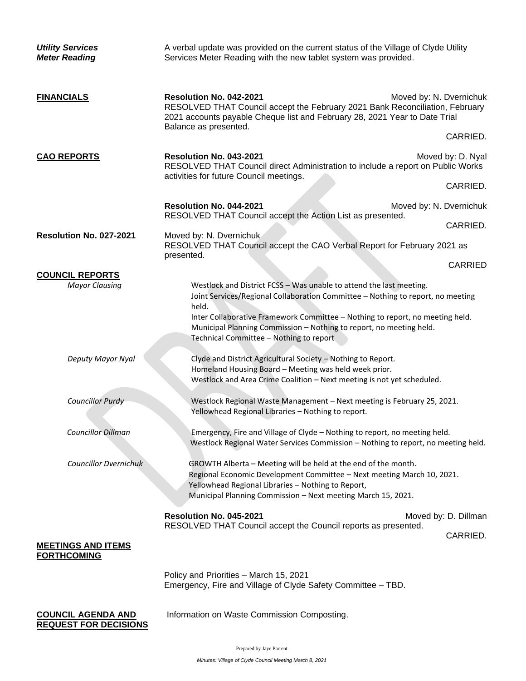| <b>Utility Services</b><br><b>Meter Reading</b>           | A verbal update was provided on the current status of the Village of Clyde Utility<br>Services Meter Reading with the new tablet system was provided.                                                                                                                                                                                                              |                   |  |
|-----------------------------------------------------------|--------------------------------------------------------------------------------------------------------------------------------------------------------------------------------------------------------------------------------------------------------------------------------------------------------------------------------------------------------------------|-------------------|--|
| <b>FINANCIALS</b>                                         | Resolution No. 042-2021<br>Moved by: N. Dvernichuk<br>RESOLVED THAT Council accept the February 2021 Bank Reconciliation, February<br>2021 accounts payable Cheque list and February 28, 2021 Year to Date Trial<br>Balance as presented.                                                                                                                          |                   |  |
|                                                           | CARRIED.                                                                                                                                                                                                                                                                                                                                                           |                   |  |
| <b>CAO REPORTS</b>                                        | Resolution No. 043-2021<br>RESOLVED THAT Council direct Administration to include a report on Public Works<br>activities for future Council meetings.                                                                                                                                                                                                              | Moved by: D. Nyal |  |
|                                                           | CARRIED.                                                                                                                                                                                                                                                                                                                                                           |                   |  |
|                                                           | Resolution No. 044-2021<br>Moved by: N. Dvernichuk<br>RESOLVED THAT Council accept the Action List as presented.                                                                                                                                                                                                                                                   |                   |  |
| Resolution No. 027-2021                                   | Moved by: N. Dvernichuk<br>RESOLVED THAT Council accept the CAO Verbal Report for February 2021 as                                                                                                                                                                                                                                                                 | CARRIED.          |  |
|                                                           | presented.<br>CARRIED                                                                                                                                                                                                                                                                                                                                              |                   |  |
| <b>COUNCIL REPORTS</b>                                    |                                                                                                                                                                                                                                                                                                                                                                    |                   |  |
| <b>Mayor Clausing</b>                                     | Westlock and District FCSS - Was unable to attend the last meeting.<br>Joint Services/Regional Collaboration Committee - Nothing to report, no meeting<br>held.<br>Inter Collaborative Framework Committee - Nothing to report, no meeting held.<br>Municipal Planning Commission - Nothing to report, no meeting held.<br>Technical Committee - Nothing to report |                   |  |
| Deputy Mayor Nyal                                         | Clyde and District Agricultural Society - Nothing to Report.<br>Homeland Housing Board - Meeting was held week prior.<br>Westlock and Area Crime Coalition - Next meeting is not yet scheduled.                                                                                                                                                                    |                   |  |
| <b>Councillor Purdy</b>                                   | Westlock Regional Waste Management - Next meeting is February 25, 2021.<br>Yellowhead Regional Libraries - Nothing to report.                                                                                                                                                                                                                                      |                   |  |
| <b>Councillor Dillman</b>                                 | Emergency, Fire and Village of Clyde - Nothing to report, no meeting held.<br>Westlock Regional Water Services Commission - Nothing to report, no meeting held.                                                                                                                                                                                                    |                   |  |
| <b>Councillor Dvernichuk</b>                              | GROWTH Alberta - Meeting will be held at the end of the month.<br>Regional Economic Development Committee - Next meeting March 10, 2021.<br>Yellowhead Regional Libraries - Nothing to Report,<br>Municipal Planning Commission - Next meeting March 15, 2021.                                                                                                     |                   |  |
|                                                           | Resolution No. 045-2021<br>Moved by: D. Dillman<br>RESOLVED THAT Council accept the Council reports as presented.<br>CARRIED.                                                                                                                                                                                                                                      |                   |  |
| <b>MEETINGS AND ITEMS</b><br><b>FORTHCOMING</b>           |                                                                                                                                                                                                                                                                                                                                                                    |                   |  |
|                                                           | Policy and Priorities - March 15, 2021<br>Emergency, Fire and Village of Clyde Safety Committee - TBD.                                                                                                                                                                                                                                                             |                   |  |
| <b>COUNCIL AGENDA AND</b><br><b>REQUEST FOR DECISIONS</b> | Information on Waste Commission Composting.                                                                                                                                                                                                                                                                                                                        |                   |  |